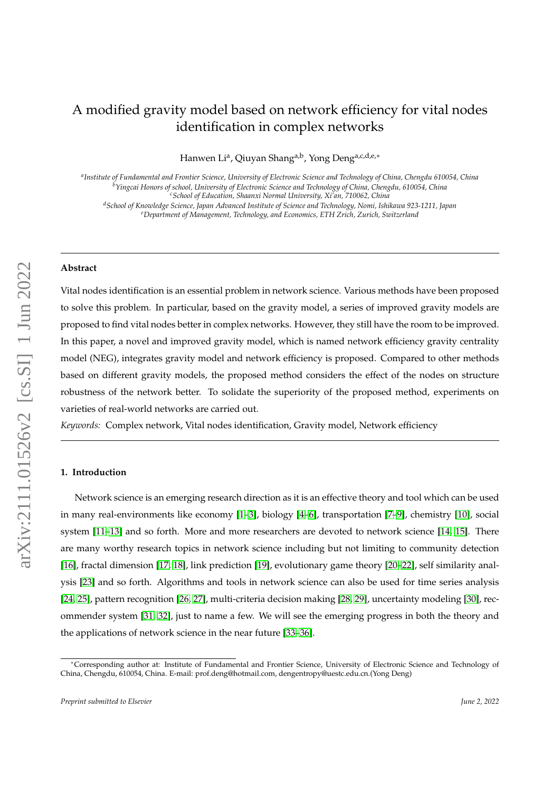# A modified gravity model based on network efficiency for vital nodes identification in complex networks

Hanwen Li<sup>a</sup>, Qiuyan Shang<sup>a,b</sup>, Yong Deng<sup>a,c,d,e,</sup>\*

*a Institute of Fundamental and Frontier Science, University of Electronic Science and Technology of China, Chengdu 610054, China <sup>b</sup>Yingcai Honors of school, University of Electronic Science and Technology of China, Chengdu, 610054, China <sup>c</sup>School of Education, Shaanxi Normal University, Xi'an, 710062, China*

*<sup>d</sup>School of Knowledge Science, Japan Advanced Institute of Science and Technology, Nomi, Ishikawa 923-1211, Japan <sup>e</sup>Department of Management, Technology, and Economics, ETH Zrich, Zurich, Switzerland*

#### **Abstract**

Vital nodes identification is an essential problem in network science. Various methods have been proposed to solve this problem. In particular, based on the gravity model, a series of improved gravity models are proposed to find vital nodes better in complex networks. However, they still have the room to be improved. In this paper, a novel and improved gravity model, which is named network efficiency gravity centrality model (NEG), integrates gravity model and network efficiency is proposed. Compared to other methods based on different gravity models, the proposed method considers the effect of the nodes on structure robustness of the network better. To solidate the superiority of the proposed method, experiments on varieties of real-world networks are carried out.

*Keywords:* Complex network, Vital nodes identification, Gravity model, Network efficiency

## **1. Introduction**

Network science is an emerging research direction as it is an effective theory and tool which can be used in many real-environments like economy [\[1–](#page-9-0)[3\]](#page-9-1), biology [\[4–](#page-9-2)[6\]](#page-9-3), transportation [\[7](#page-9-4)[–9\]](#page-10-0), chemistry [\[10\]](#page-10-1), social system [\[11–](#page-10-2)[13\]](#page-10-3) and so forth. More and more researchers are devoted to network science [\[14,](#page-10-4) [15\]](#page-10-5). There are many worthy research topics in network science including but not limiting to community detection [\[16\]](#page-10-6), fractal dimension [\[17,](#page-10-7) [18\]](#page-10-8), link prediction [\[19\]](#page-10-9), evolutionary game theory [\[20–](#page-10-10)[22\]](#page-10-11), self similarity analysis [\[23\]](#page-10-12) and so forth. Algorithms and tools in network science can also be used for time series analysis [\[24,](#page-10-13) [25\]](#page-10-14), pattern recognition [\[26,](#page-10-15) [27\]](#page-10-16), multi-criteria decision making [\[28,](#page-10-17) [29\]](#page-10-18), uncertainty modeling [\[30\]](#page-10-19), recommender system [\[31,](#page-11-0) [32\]](#page-11-1), just to name a few. We will see the emerging progress in both the theory and the applications of network science in the near future [\[33](#page-11-2)[–36\]](#page-11-3).

<sup>∗</sup>Corresponding author at: Institute of Fundamental and Frontier Science, University of Electronic Science and Technology of China, Chengdu, 610054, China. E-mail: prof.deng@hotmail.com, dengentropy@uestc.edu.cn.(Yong Deng)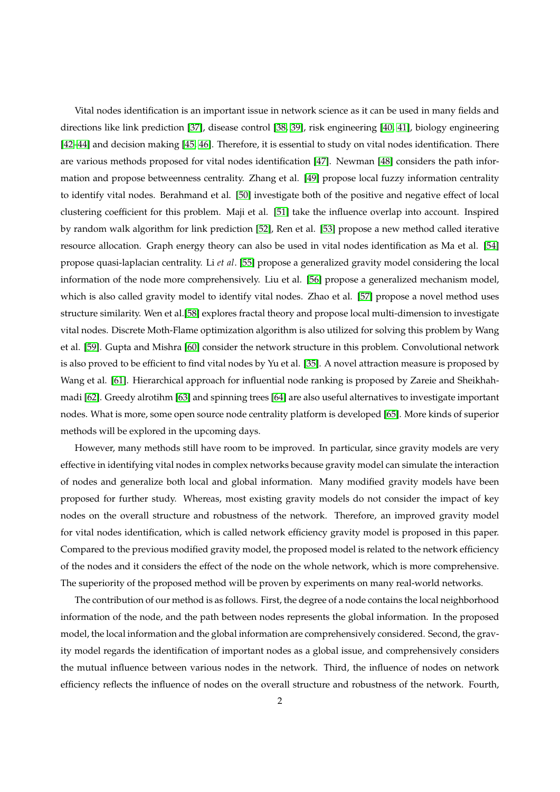Vital nodes identification is an important issue in network science as it can be used in many fields and directions like link prediction [\[37\]](#page-11-4), disease control [\[38,](#page-11-5) [39\]](#page-11-6), risk engineering [\[40,](#page-11-7) [41\]](#page-11-8), biology engineering [\[42–](#page-11-9)[44\]](#page-11-10) and decision making [\[45,](#page-11-11) [46\]](#page-11-12). Therefore, it is essential to study on vital nodes identification. There are various methods proposed for vital nodes identification [\[47\]](#page-11-13). Newman [\[48\]](#page-11-14) considers the path information and propose betweenness centrality. Zhang et al. [\[49\]](#page-11-15) propose local fuzzy information centrality to identify vital nodes. Berahmand et al. [\[50\]](#page-11-16) investigate both of the positive and negative effect of local clustering coefficient for this problem. Maji et al. [\[51\]](#page-11-17) take the influence overlap into account. Inspired by random walk algorithm for link prediction [\[52\]](#page-11-18), Ren et al. [\[53\]](#page-12-0) propose a new method called iterative resource allocation. Graph energy theory can also be used in vital nodes identification as Ma et al. [\[54\]](#page-12-1) propose quasi-laplacian centrality. Li *et al*. [\[55\]](#page-12-2) propose a generalized gravity model considering the local information of the node more comprehensively. Liu et al. [\[56\]](#page-12-3) propose a generalized mechanism model, which is also called gravity model to identify vital nodes. Zhao et al. [\[57\]](#page-12-4) propose a novel method uses structure similarity. Wen et al.[\[58\]](#page-12-5) explores fractal theory and propose local multi-dimension to investigate vital nodes. Discrete Moth-Flame optimization algorithm is also utilized for solving this problem by Wang et al. [\[59\]](#page-12-6). Gupta and Mishra [\[60\]](#page-12-7) consider the network structure in this problem. Convolutional network is also proved to be efficient to find vital nodes by Yu et al. [\[35\]](#page-11-19). A novel attraction measure is proposed by Wang et al. [\[61\]](#page-12-8). Hierarchical approach for influential node ranking is proposed by Zareie and Sheikhahmadi [\[62\]](#page-12-9). Greedy alrotihm [\[63\]](#page-12-10) and spinning trees [\[64\]](#page-12-11) are also useful alternatives to investigate important nodes. What is more, some open source node centrality platform is developed [\[65\]](#page-12-12). More kinds of superior methods will be explored in the upcoming days.

However, many methods still have room to be improved. In particular, since gravity models are very effective in identifying vital nodes in complex networks because gravity model can simulate the interaction of nodes and generalize both local and global information. Many modified gravity models have been proposed for further study. Whereas, most existing gravity models do not consider the impact of key nodes on the overall structure and robustness of the network. Therefore, an improved gravity model for vital nodes identification, which is called network efficiency gravity model is proposed in this paper. Compared to the previous modified gravity model, the proposed model is related to the network efficiency of the nodes and it considers the effect of the node on the whole network, which is more comprehensive. The superiority of the proposed method will be proven by experiments on many real-world networks.

The contribution of our method is as follows. First, the degree of a node contains the local neighborhood information of the node, and the path between nodes represents the global information. In the proposed model, the local information and the global information are comprehensively considered. Second, the gravity model regards the identification of important nodes as a global issue, and comprehensively considers the mutual influence between various nodes in the network. Third, the influence of nodes on network efficiency reflects the influence of nodes on the overall structure and robustness of the network. Fourth,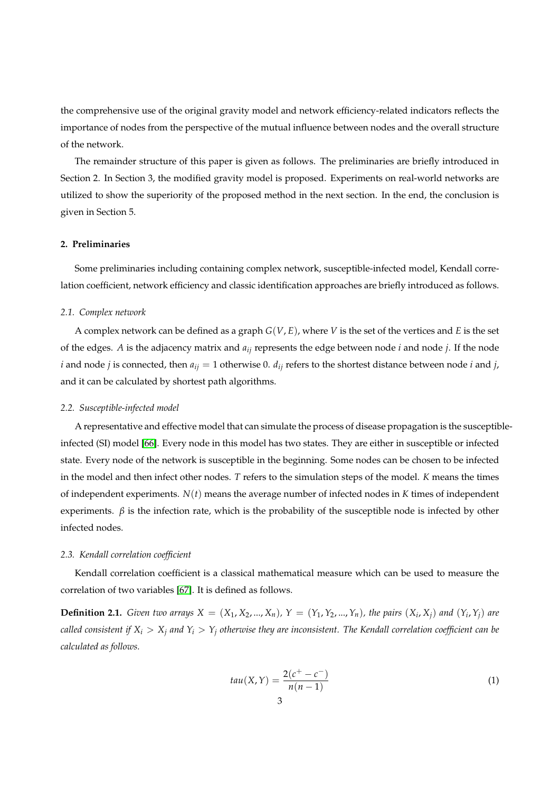the comprehensive use of the original gravity model and network efficiency-related indicators reflects the importance of nodes from the perspective of the mutual influence between nodes and the overall structure of the network.

The remainder structure of this paper is given as follows. The preliminaries are briefly introduced in Section 2. In Section 3, the modified gravity model is proposed. Experiments on real-world networks are utilized to show the superiority of the proposed method in the next section. In the end, the conclusion is given in Section 5.

# **2. Preliminaries**

Some preliminaries including containing complex network, susceptible-infected model, Kendall correlation coefficient, network efficiency and classic identification approaches are briefly introduced as follows.

#### *2.1. Complex network*

A complex network can be defined as a graph *G*(*V*, *E*), where *V* is the set of the vertices and *E* is the set of the edges. *A* is the adjacency matrix and *aij* represents the edge between node *i* and node *j*. If the node *i* and node *j* is connected, then  $a_{ij} = 1$  otherwise 0.  $d_{ij}$  refers to the shortest distance between node *i* and *j*, and it can be calculated by shortest path algorithms.

#### *2.2. Susceptible-infected model*

A representative and effective model that can simulate the process of disease propagation is the susceptibleinfected (SI) model [\[66\]](#page-12-13). Every node in this model has two states. They are either in susceptible or infected state. Every node of the network is susceptible in the beginning. Some nodes can be chosen to be infected in the model and then infect other nodes. *T* refers to the simulation steps of the model. *K* means the times of independent experiments. *N*(*t*) means the average number of infected nodes in *K* times of independent experiments.  $\beta$  is the infection rate, which is the probability of the susceptible node is infected by other infected nodes.

#### *2.3. Kendall correlation coefficient*

Kendall correlation coefficient is a classical mathematical measure which can be used to measure the correlation of two variables [\[67\]](#page-12-14). It is defined as follows.

**Definition 2.1.** Given two arrays  $X = (X_1, X_2, ..., X_n)$ ,  $Y = (Y_1, Y_2, ..., Y_n)$ , the pairs  $(X_i, X_j)$  and  $(Y_i, Y_j)$  are *called consistent if*  $X_i > X_j$  *and*  $Y_i > Y_j$  *otherwise they are inconsistent. The Kendall correlation coefficient can be calculated as follows.*

$$
tau(X,Y) = \frac{2(c^{+} - c^{-})}{n(n-1)}
$$
\n(1)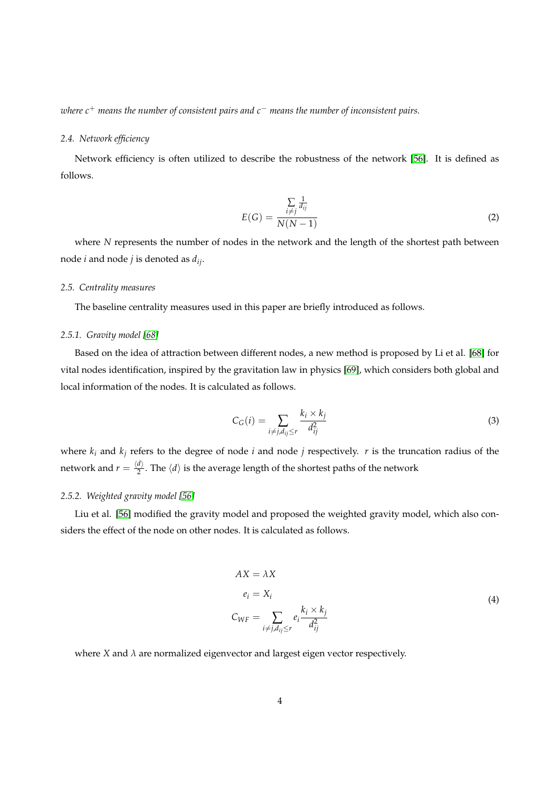*where c*<sup>+</sup> *means the number of consistent pairs and c*<sup>−</sup> *means the number of inconsistent pairs.*

# *2.4. Network efficiency*

Network efficiency is often utilized to describe the robustness of the network [\[56\]](#page-12-3). It is defined as follows.

$$
E(G) = \frac{\sum_{i \neq j} \frac{1}{d_{ij}}}{N(N-1)}
$$
(2)

where *N* represents the number of nodes in the network and the length of the shortest path between node *i* and node *j* is denoted as *dij*.

#### *2.5. Centrality measures*

The baseline centrality measures used in this paper are briefly introduced as follows.

## *2.5.1. Gravity model [\[68\]](#page-12-15)*

Based on the idea of attraction between different nodes, a new method is proposed by Li et al. [\[68\]](#page-12-15) for vital nodes identification, inspired by the gravitation law in physics [\[69\]](#page-12-16), which considers both global and local information of the nodes. It is calculated as follows.

$$
C_G(i) = \sum_{i \neq j, d_{ij} \le r} \frac{k_i \times k_j}{d_{ij}^2} \tag{3}
$$

where  $k_i$  and  $k_j$  refers to the degree of node *i* and node *j* respectively. *r* is the truncation radius of the network and  $r = \frac{\langle d \rangle}{2}$  $\frac{d}{2}$ . The  $\langle d \rangle$  is the average length of the shortest paths of the network

#### *2.5.2. Weighted gravity model [\[56\]](#page-12-3)*

Liu et al. [\[56\]](#page-12-3) modified the gravity model and proposed the weighted gravity model, which also considers the effect of the node on other nodes. It is calculated as follows.

$$
AX = \lambda X
$$
  
\n
$$
e_i = X_i
$$
  
\n
$$
C_{WF} = \sum_{i \neq j, d_{ij} \leq r} e_i \frac{k_i \times k_j}{d_{ij}^2}
$$
\n(4)

where *X* and  $\lambda$  are normalized eigenvector and largest eigen vector respectively.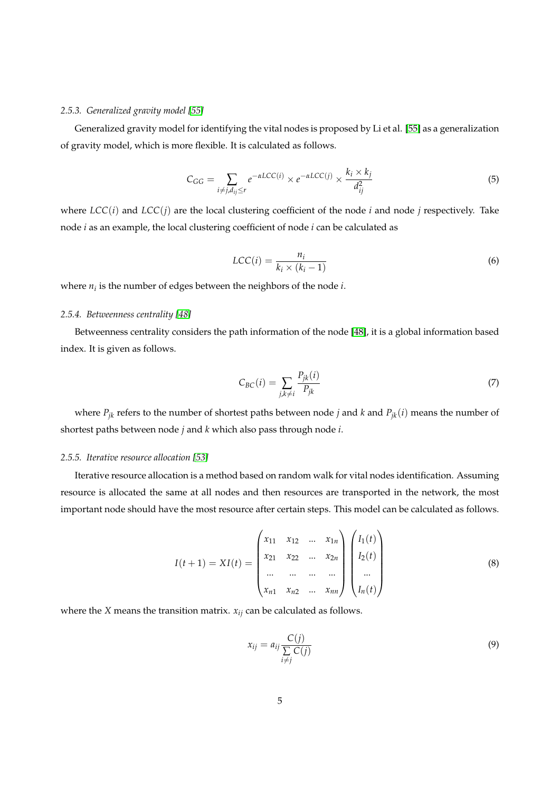# *2.5.3. Generalized gravity model [\[55\]](#page-12-2)*

Generalized gravity model for identifying the vital nodes is proposed by Li et al. [\[55\]](#page-12-2) as a generalization of gravity model, which is more flexible. It is calculated as follows.

$$
C_{GG} = \sum_{i \neq j, d_{ij} \leq r} e^{-\alpha LCC(i)} \times e^{-\alpha LCC(j)} \times \frac{k_i \times k_j}{d_{ij}^2}
$$
(5)

where *LCC*(*i*) and *LCC*(*j*) are the local clustering coefficient of the node *i* and node *j* respectively. Take node *i* as an example, the local clustering coefficient of node *i* can be calculated as

$$
LCC(i) = \frac{n_i}{k_i \times (k_i - 1)}
$$
\n(6)

where  $n_i$  is the number of edges between the neighbors of the node  $i$ .

# *2.5.4. Betweenness centrality [\[48\]](#page-11-14)*

Betweenness centrality considers the path information of the node [\[48\]](#page-11-14), it is a global information based index. It is given as follows.

$$
C_{BC}(i) = \sum_{j,k \neq i} \frac{P_{jk}(i)}{P_{jk}} \tag{7}
$$

where  $P_{jk}$  refers to the number of shortest paths between node *j* and *k* and  $P_{jk}(i)$  means the number of shortest paths between node *j* and *k* which also pass through node *i*.

## *2.5.5. Iterative resource allocation [\[53\]](#page-12-0)*

Iterative resource allocation is a method based on random walk for vital nodes identification. Assuming resource is allocated the same at all nodes and then resources are transported in the network, the most important node should have the most resource after certain steps. This model can be calculated as follows.

$$
I(t+1) = XI(t) = \begin{pmatrix} x_{11} & x_{12} & \dots & x_{1n} \\ x_{21} & x_{22} & \dots & x_{2n} \\ \dots & \dots & \dots & \dots \\ x_{n1} & x_{n2} & \dots & x_{nn} \end{pmatrix} \begin{pmatrix} I_1(t) \\ I_2(t) \\ \dots \\ I_n(t) \end{pmatrix}
$$
 (8)

where the *X* means the transition matrix. *xij* can be calculated as follows.

$$
x_{ij} = a_{ij} \frac{C(j)}{\sum\limits_{i \neq j} C(j)} \tag{9}
$$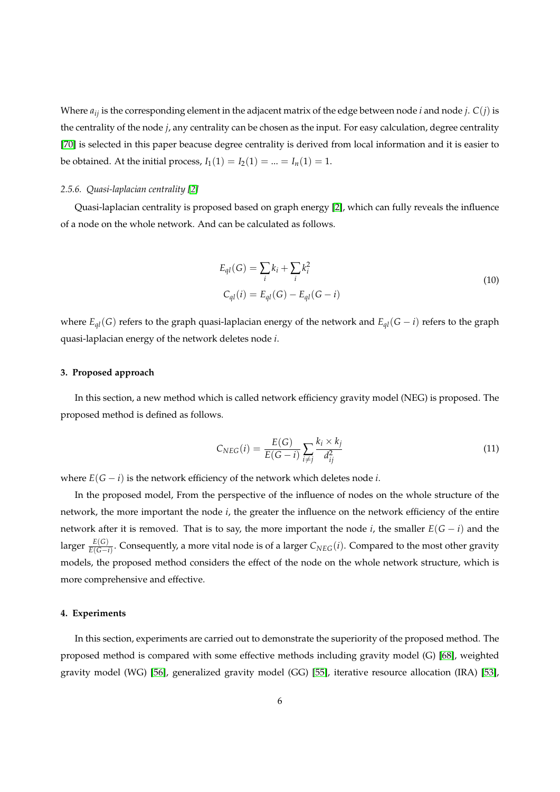Where *aij* is the corresponding element in the adjacent matrix of the edge between node *i* and node *j*. *C*(*j*) is the centrality of the node *j*, any centrality can be chosen as the input. For easy calculation, degree centrality [\[70\]](#page-12-17) is selected in this paper beacuse degree centrality is derived from local information and it is easier to be obtained. At the initial process,  $I_1(1) = I_2(1) = ... = I_n(1) = 1$ .

# *2.5.6. Quasi-laplacian centrality [\[2\]](#page-9-5)*

Quasi-laplacian centrality is proposed based on graph energy [\[2\]](#page-9-5), which can fully reveals the influence of a node on the whole network. And can be calculated as follows.

$$
E_{ql}(G) = \sum_{i} k_i + \sum_{i} k_i^2
$$
  
\n
$$
C_{ql}(i) = E_{ql}(G) - E_{ql}(G - i)
$$
\n(10)

where  $E_{ql}(G)$  refers to the graph quasi-laplacian energy of the network and  $E_{ql}(G - i)$  refers to the graph quasi-laplacian energy of the network deletes node *i*.

#### **3. Proposed approach**

In this section, a new method which is called network efficiency gravity model (NEG) is proposed. The proposed method is defined as follows.

$$
C_{NEG}(i) = \frac{E(G)}{E(G-i)} \sum_{i \neq j} \frac{k_i \times k_j}{d_{ij}^2}
$$
\n(11)

where  $E(G - i)$  is the network efficiency of the network which deletes node *i*.

In the proposed model, From the perspective of the influence of nodes on the whole structure of the network, the more important the node *i*, the greater the influence on the network efficiency of the entire network after it is removed. That is to say, the more important the node *i*, the smaller  $E(G - i)$  and the larger  $\frac{E(G)}{E(G-i)}$ . Consequently, a more vital node is of a larger  $C_{NEG}(i)$ . Compared to the most other gravity models, the proposed method considers the effect of the node on the whole network structure, which is more comprehensive and effective.

# **4. Experiments**

In this section, experiments are carried out to demonstrate the superiority of the proposed method. The proposed method is compared with some effective methods including gravity model (G) [\[68\]](#page-12-15), weighted gravity model (WG) [\[56\]](#page-12-3), generalized gravity model (GG) [\[55\]](#page-12-2), iterative resource allocation (IRA) [\[53\]](#page-12-0),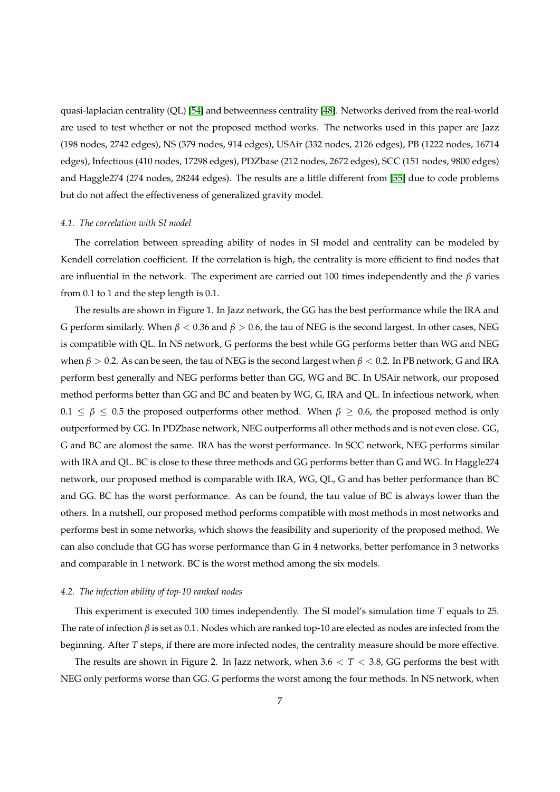quasi-laplacian centrality (QL) [\[54\]](#page-12-1) and betweenness centrality [\[48\]](#page-11-14). Networks derived from the real-world are used to test whether or not the proposed method works. The networks used in this paper are Jazz (198 nodes, 2742 edges), NS (379 nodes, 914 edges), USAir (332 nodes, 2126 edges), PB (1222 nodes, 16714 edges), Infectious (410 nodes, 17298 edges), PDZbase (212 nodes, 2672 edges), SCC (151 nodes, 9800 edges) and Haggle274 (274 nodes, 28244 edges). The results are a little different from [\[55\]](#page-12-2) due to code problems but do not affect the effectiveness of generalized gravity model.

#### *4.1. The correlation with SI model*

The correlation between spreading ability of nodes in SI model and centrality can be modeled by Kendell correlation coefficient. If the correlation is high, the centrality is more efficient to find nodes that are influential in the network. The experiment are carried out 100 times independently and the *β* varies from 0.1 to 1 and the step length is 0.1.

The results are shown in Figure 1. In Jazz network, the GG has the best performance while the IRA and G perform similarly. When *β* < 0.36 and *β* > 0.6, the tau of NEG is the second largest. In other cases, NEG is compatible with QL. In NS network, G performs the best while GG performs better than WG and NEG when  $\beta > 0.2$ . As can be seen, the tau of NEG is the second largest when  $\beta < 0.2$ . In PB network, G and IRA perform best generally and NEG performs better than GG, WG and BC. In USAir network, our proposed method performs better than GG and BC and beaten by WG, G, IRA and QL. In infectious network, when  $0.1 \leq \beta \leq 0.5$  the proposed outperforms other method. When  $\beta \geq 0.6$ , the proposed method is only outperformed by GG. In PDZbase network, NEG outperforms all other methods and is not even close. GG, G and BC are alomost the same. IRA has the worst performance. In SCC network, NEG performs similar with IRA and QL. BC is close to these three methods and GG performs better than G and WG. In Haggle274 network, our proposed method is comparable with IRA, WG, QL, G and has better performance than BC and GG. BC has the worst performance. As can be found, the tau value of BC is always lower than the others. In a nutshell, our proposed method performs compatible with most methods in most networks and performs best in some networks, which shows the feasibility and superiority of the proposed method. We can also conclude that GG has worse performance than G in 4 networks, better perfomance in 3 networks and comparable in 1 network. BC is the worst method among the six models.

# *4.2. The infection ability of top-10 ranked nodes*

This experiment is executed 100 times independently. The SI model's simulation time *T* equals to 25. The rate of infection *β* is set as 0.1. Nodes which are ranked top-10 are elected as nodes are infected from the beginning. After *T* steps, if there are more infected nodes, the centrality measure should be more effective.

The results are shown in Figure 2. In Jazz network, when  $3.6 < T < 3.8$ , GG performs the best with NEG only performs worse than GG. G performs the worst among the four methods. In NS network, when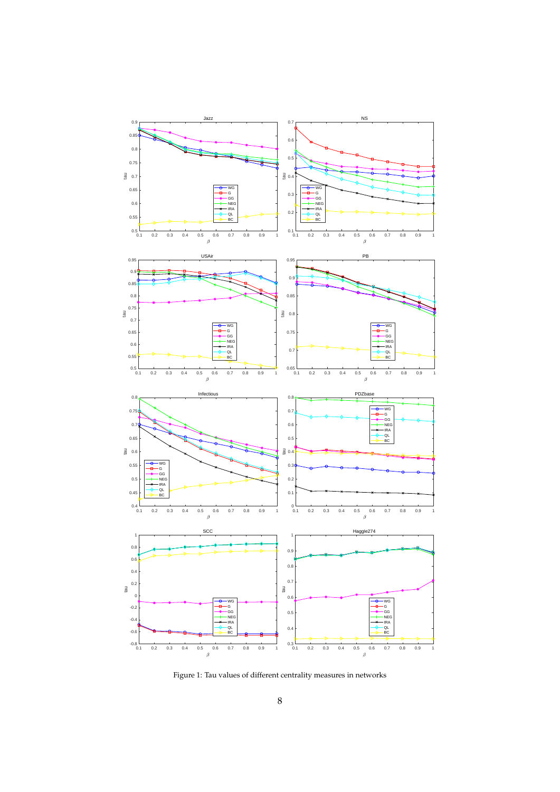

Figure 1: Tau values of different centrality measures in networks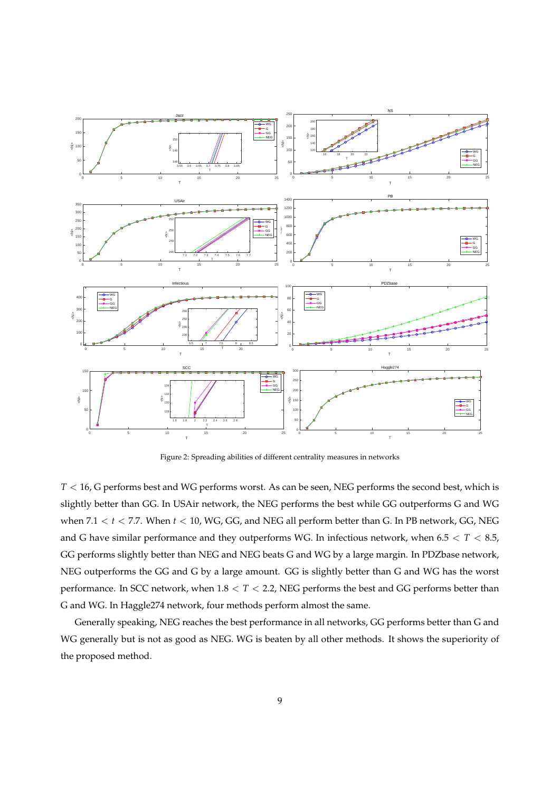

Figure 2: Spreading abilities of different centrality measures in networks

*T* < 16, G performs best and WG performs worst. As can be seen, NEG performs the second best, which is slightly better than GG. In USAir network, the NEG performs the best while GG outperforms G and WG when 7.1 < *t* < 7.7. When *t* < 10, WG, GG, and NEG all perform better than G. In PB network, GG, NEG and G have similar performance and they outperforms WG. In infectious network, when 6.5 < *T* < 8.5, GG performs slightly better than NEG and NEG beats G and WG by a large margin. In PDZbase network, NEG outperforms the GG and G by a large amount. GG is slightly better than G and WG has the worst performance. In SCC network, when 1.8 < *T* < 2.2, NEG performs the best and GG performs better than G and WG. In Haggle274 network, four methods perform almost the same.

Generally speaking, NEG reaches the best performance in all networks, GG performs better than G and WG generally but is not as good as NEG. WG is beaten by all other methods. It shows the superiority of the proposed method.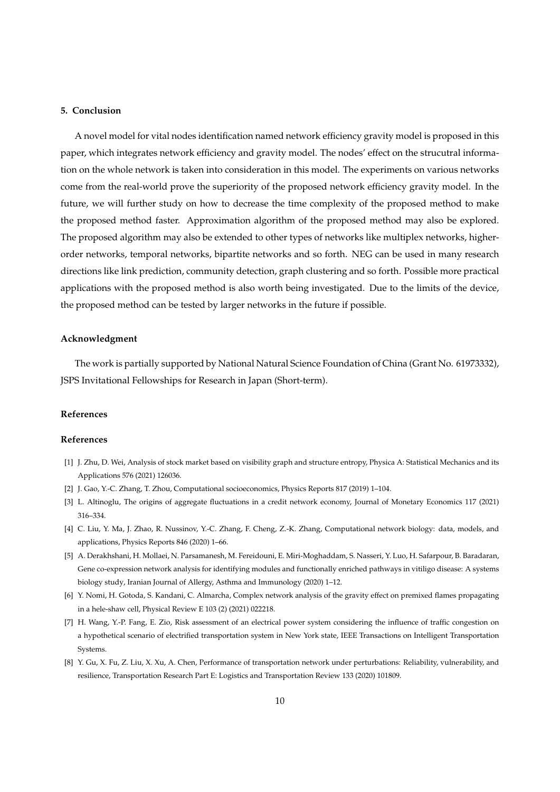## **5. Conclusion**

A novel model for vital nodes identification named network efficiency gravity model is proposed in this paper, which integrates network efficiency and gravity model. The nodes' effect on the strucutral information on the whole network is taken into consideration in this model. The experiments on various networks come from the real-world prove the superiority of the proposed network efficiency gravity model. In the future, we will further study on how to decrease the time complexity of the proposed method to make the proposed method faster. Approximation algorithm of the proposed method may also be explored. The proposed algorithm may also be extended to other types of networks like multiplex networks, higherorder networks, temporal networks, bipartite networks and so forth. NEG can be used in many research directions like link prediction, community detection, graph clustering and so forth. Possible more practical applications with the proposed method is also worth being investigated. Due to the limits of the device, the proposed method can be tested by larger networks in the future if possible.

## **Acknowledgment**

The work is partially supported by National Natural Science Foundation of China (Grant No. 61973332), JSPS Invitational Fellowships for Research in Japan (Short-term).

## **References**

#### **References**

- <span id="page-9-0"></span>[1] J. Zhu, D. Wei, Analysis of stock market based on visibility graph and structure entropy, Physica A: Statistical Mechanics and its Applications 576 (2021) 126036.
- <span id="page-9-5"></span><span id="page-9-1"></span>[2] J. Gao, Y.-C. Zhang, T. Zhou, Computational socioeconomics, Physics Reports 817 (2019) 1–104.
- [3] L. Altinoglu, The origins of aggregate fluctuations in a credit network economy, Journal of Monetary Economics 117 (2021) 316–334.
- <span id="page-9-2"></span>[4] C. Liu, Y. Ma, J. Zhao, R. Nussinov, Y.-C. Zhang, F. Cheng, Z.-K. Zhang, Computational network biology: data, models, and applications, Physics Reports 846 (2020) 1–66.
- [5] A. Derakhshani, H. Mollaei, N. Parsamanesh, M. Fereidouni, E. Miri-Moghaddam, S. Nasseri, Y. Luo, H. Safarpour, B. Baradaran, Gene co-expression network analysis for identifying modules and functionally enriched pathways in vitiligo disease: A systems biology study, Iranian Journal of Allergy, Asthma and Immunology (2020) 1–12.
- <span id="page-9-3"></span>[6] Y. Nomi, H. Gotoda, S. Kandani, C. Almarcha, Complex network analysis of the gravity effect on premixed flames propagating in a hele-shaw cell, Physical Review E 103 (2) (2021) 022218.
- <span id="page-9-4"></span>[7] H. Wang, Y.-P. Fang, E. Zio, Risk assessment of an electrical power system considering the influence of traffic congestion on a hypothetical scenario of electrified transportation system in New York state, IEEE Transactions on Intelligent Transportation **Systems**.
- [8] Y. Gu, X. Fu, Z. Liu, X. Xu, A. Chen, Performance of transportation network under perturbations: Reliability, vulnerability, and resilience, Transportation Research Part E: Logistics and Transportation Review 133 (2020) 101809.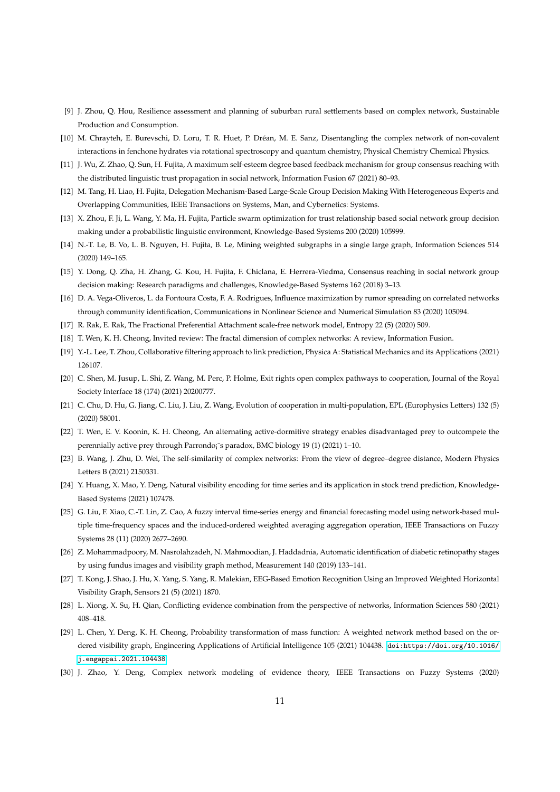- <span id="page-10-0"></span>[9] J. Zhou, Q. Hou, Resilience assessment and planning of suburban rural settlements based on complex network, Sustainable Production and Consumption.
- <span id="page-10-1"></span>[10] M. Chrayteh, E. Burevschi, D. Loru, T. R. Huet, P. Dréan, M. E. Sanz, Disentangling the complex network of non-covalent interactions in fenchone hydrates via rotational spectroscopy and quantum chemistry, Physical Chemistry Chemical Physics.
- <span id="page-10-2"></span>[11] J. Wu, Z. Zhao, Q. Sun, H. Fujita, A maximum self-esteem degree based feedback mechanism for group consensus reaching with the distributed linguistic trust propagation in social network, Information Fusion 67 (2021) 80–93.
- [12] M. Tang, H. Liao, H. Fujita, Delegation Mechanism-Based Large-Scale Group Decision Making With Heterogeneous Experts and Overlapping Communities, IEEE Transactions on Systems, Man, and Cybernetics: Systems.
- <span id="page-10-3"></span>[13] X. Zhou, F. Ji, L. Wang, Y. Ma, H. Fujita, Particle swarm optimization for trust relationship based social network group decision making under a probabilistic linguistic environment, Knowledge-Based Systems 200 (2020) 105999.
- <span id="page-10-4"></span>[14] N.-T. Le, B. Vo, L. B. Nguyen, H. Fujita, B. Le, Mining weighted subgraphs in a single large graph, Information Sciences 514 (2020) 149–165.
- <span id="page-10-5"></span>[15] Y. Dong, Q. Zha, H. Zhang, G. Kou, H. Fujita, F. Chiclana, E. Herrera-Viedma, Consensus reaching in social network group decision making: Research paradigms and challenges, Knowledge-Based Systems 162 (2018) 3–13.
- <span id="page-10-6"></span>[16] D. A. Vega-Oliveros, L. da Fontoura Costa, F. A. Rodrigues, Influence maximization by rumor spreading on correlated networks through community identification, Communications in Nonlinear Science and Numerical Simulation 83 (2020) 105094.
- <span id="page-10-8"></span><span id="page-10-7"></span>[17] R. Rak, E. Rak, The Fractional Preferential Attachment scale-free network model, Entropy 22 (5) (2020) 509.
- [18] T. Wen, K. H. Cheong, Invited review: The fractal dimension of complex networks: A review, Information Fusion.
- <span id="page-10-9"></span>[19] Y.-L. Lee, T. Zhou, Collaborative filtering approach to link prediction, Physica A: Statistical Mechanics and its Applications (2021) 126107.
- <span id="page-10-10"></span>[20] C. Shen, M. Jusup, L. Shi, Z. Wang, M. Perc, P. Holme, Exit rights open complex pathways to cooperation, Journal of the Royal Society Interface 18 (174) (2021) 20200777.
- [21] C. Chu, D. Hu, G. Jiang, C. Liu, J. Liu, Z. Wang, Evolution of cooperation in multi-population, EPL (Europhysics Letters) 132 (5) (2020) 58001.
- <span id="page-10-11"></span>[22] T. Wen, E. V. Koonin, K. H. Cheong, An alternating active-dormitive strategy enables disadvantaged prey to outcompete the perennially active prey through Parrondo<sub>i</sub><sup>-</sup>s paradox, BMC biology 19 (1) (2021) 1-10.
- <span id="page-10-12"></span>[23] B. Wang, J. Zhu, D. Wei, The self-similarity of complex networks: From the view of degree–degree distance, Modern Physics Letters B (2021) 2150331.
- <span id="page-10-13"></span>[24] Y. Huang, X. Mao, Y. Deng, Natural visibility encoding for time series and its application in stock trend prediction, Knowledge-Based Systems (2021) 107478.
- <span id="page-10-14"></span>[25] G. Liu, F. Xiao, C.-T. Lin, Z. Cao, A fuzzy interval time-series energy and financial forecasting model using network-based multiple time-frequency spaces and the induced-ordered weighted averaging aggregation operation, IEEE Transactions on Fuzzy Systems 28 (11) (2020) 2677–2690.
- <span id="page-10-15"></span>[26] Z. Mohammadpoory, M. Nasrolahzadeh, N. Mahmoodian, J. Haddadnia, Automatic identification of diabetic retinopathy stages by using fundus images and visibility graph method, Measurement 140 (2019) 133–141.
- <span id="page-10-16"></span>[27] T. Kong, J. Shao, J. Hu, X. Yang, S. Yang, R. Malekian, EEG-Based Emotion Recognition Using an Improved Weighted Horizontal Visibility Graph, Sensors 21 (5) (2021) 1870.
- <span id="page-10-17"></span>[28] L. Xiong, X. Su, H. Qian, Conflicting evidence combination from the perspective of networks, Information Sciences 580 (2021) 408–418.
- <span id="page-10-18"></span>[29] L. Chen, Y. Deng, K. H. Cheong, Probability transformation of mass function: A weighted network method based on the ordered visibility graph, Engineering Applications of Artificial Intelligence 105 (2021) 104438. [doi:https://doi.org/10.1016/](http://dx.doi.org/https://doi.org/10.1016/j.engappai.2021.104438) [j.engappai.2021.104438](http://dx.doi.org/https://doi.org/10.1016/j.engappai.2021.104438).
- <span id="page-10-19"></span>[30] J. Zhao, Y. Deng, Complex network modeling of evidence theory, IEEE Transactions on Fuzzy Systems (2020)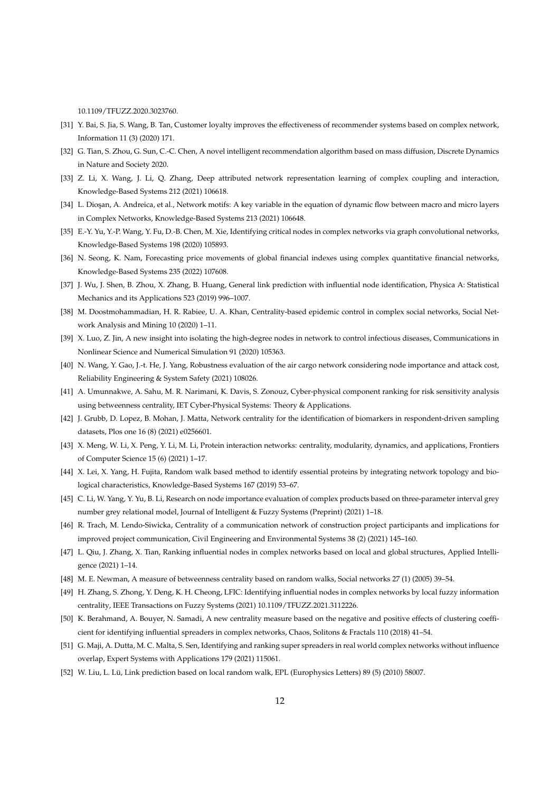10.1109/TFUZZ.2020.3023760.

- <span id="page-11-0"></span>[31] Y. Bai, S. Jia, S. Wang, B. Tan, Customer loyalty improves the effectiveness of recommender systems based on complex network, Information 11 (3) (2020) 171.
- <span id="page-11-1"></span>[32] G. Tian, S. Zhou, G. Sun, C.-C. Chen, A novel intelligent recommendation algorithm based on mass diffusion, Discrete Dynamics in Nature and Society 2020.
- <span id="page-11-2"></span>[33] Z. Li, X. Wang, J. Li, Q. Zhang, Deep attributed network representation learning of complex coupling and interaction, Knowledge-Based Systems 212 (2021) 106618.
- [34] L. Dioşan, A. Andreica, et al., Network motifs: A key variable in the equation of dynamic flow between macro and micro layers in Complex Networks, Knowledge-Based Systems 213 (2021) 106648.
- <span id="page-11-19"></span>[35] E.-Y. Yu, Y.-P. Wang, Y. Fu, D.-B. Chen, M. Xie, Identifying critical nodes in complex networks via graph convolutional networks, Knowledge-Based Systems 198 (2020) 105893.
- <span id="page-11-3"></span>[36] N. Seong, K. Nam, Forecasting price movements of global financial indexes using complex quantitative financial networks, Knowledge-Based Systems 235 (2022) 107608.
- <span id="page-11-4"></span>[37] J. Wu, J. Shen, B. Zhou, X. Zhang, B. Huang, General link prediction with influential node identification, Physica A: Statistical Mechanics and its Applications 523 (2019) 996–1007.
- <span id="page-11-5"></span>[38] M. Doostmohammadian, H. R. Rabiee, U. A. Khan, Centrality-based epidemic control in complex social networks, Social Network Analysis and Mining 10 (2020) 1–11.
- <span id="page-11-6"></span>[39] X. Luo, Z. Jin, A new insight into isolating the high-degree nodes in network to control infectious diseases, Communications in Nonlinear Science and Numerical Simulation 91 (2020) 105363.
- <span id="page-11-7"></span>[40] N. Wang, Y. Gao, J.-t. He, J. Yang, Robustness evaluation of the air cargo network considering node importance and attack cost, Reliability Engineering & System Safety (2021) 108026.
- <span id="page-11-8"></span>[41] A. Umunnakwe, A. Sahu, M. R. Narimani, K. Davis, S. Zonouz, Cyber-physical component ranking for risk sensitivity analysis using betweenness centrality, IET Cyber-Physical Systems: Theory & Applications.
- <span id="page-11-9"></span>[42] J. Grubb, D. Lopez, B. Mohan, J. Matta, Network centrality for the identification of biomarkers in respondent-driven sampling datasets, Plos one 16 (8) (2021) e0256601.
- [43] X. Meng, W. Li, X. Peng, Y. Li, M. Li, Protein interaction networks: centrality, modularity, dynamics, and applications, Frontiers of Computer Science 15 (6) (2021) 1–17.
- <span id="page-11-10"></span>[44] X. Lei, X. Yang, H. Fujita, Random walk based method to identify essential proteins by integrating network topology and biological characteristics, Knowledge-Based Systems 167 (2019) 53–67.
- <span id="page-11-11"></span>[45] C. Li, W. Yang, Y. Yu, B. Li, Research on node importance evaluation of complex products based on three-parameter interval grey number grey relational model, Journal of Intelligent & Fuzzy Systems (Preprint) (2021) 1–18.
- <span id="page-11-12"></span>[46] R. Trach, M. Lendo-Siwicka, Centrality of a communication network of construction project participants and implications for improved project communication, Civil Engineering and Environmental Systems 38 (2) (2021) 145–160.
- <span id="page-11-13"></span>[47] L. Qiu, J. Zhang, X. Tian, Ranking influential nodes in complex networks based on local and global structures, Applied Intelligence (2021) 1–14.
- <span id="page-11-15"></span><span id="page-11-14"></span>[48] M. E. Newman, A measure of betweenness centrality based on random walks, Social networks 27 (1) (2005) 39–54.
- [49] H. Zhang, S. Zhong, Y. Deng, K. H. Cheong, LFIC: Identifying influential nodes in complex networks by local fuzzy information centrality, IEEE Transactions on Fuzzy Systems (2021) 10.1109/TFUZZ.2021.3112226.
- <span id="page-11-16"></span>[50] K. Berahmand, A. Bouyer, N. Samadi, A new centrality measure based on the negative and positive effects of clustering coefficient for identifying influential spreaders in complex networks, Chaos, Solitons & Fractals 110 (2018) 41–54.
- <span id="page-11-17"></span>[51] G. Maji, A. Dutta, M. C. Malta, S. Sen, Identifying and ranking super spreaders in real world complex networks without influence overlap, Expert Systems with Applications 179 (2021) 115061.
- <span id="page-11-18"></span>[52] W. Liu, L. Lü, Link prediction based on local random walk, EPL (Europhysics Letters) 89 (5) (2010) 58007.